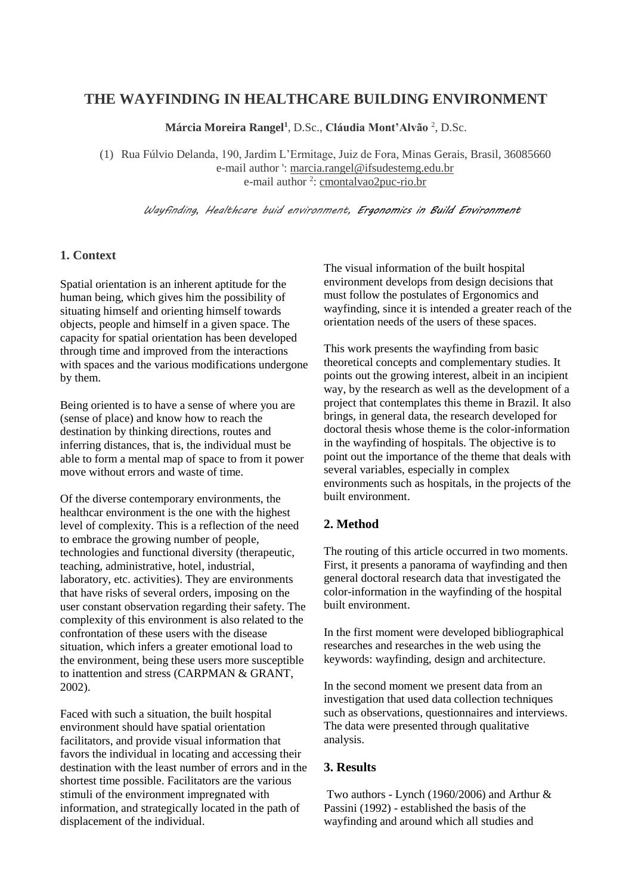# **THE WAYFINDING IN HEALTHCARE BUILDING ENVIRONMENT**

**Márcia Moreira Rangel<sup>1</sup>** , D.Sc., **Cláudia Mont'Alvão** <sup>2</sup> , D.Sc.

(1) Rua Fúlvio Delanda, 190, Jardim L'Ermitage, Juiz de Fora, Minas Gerais, Brasil, 36085660 e-mail author ': marcia.rangel@ifsudestemg.edu.br e-mail author <sup>2</sup>: cmontalvao2puc-rio.br

 *Wayfinding, Healthcare buid environment, Ergonomics in Build Environment*

#### **1. Context**

Spatial orientation is an inherent aptitude for the human being, which gives him the possibility of situating himself and orienting himself towards objects, people and himself in a given space. The capacity for spatial orientation has been developed through time and improved from the interactions with spaces and the various modifications undergone by them.

Being oriented is to have a sense of where you are (sense of place) and know how to reach the destination by thinking directions, routes and inferring distances, that is, the individual must be able to form a mental map of space to from it power move without errors and waste of time.

Of the diverse contemporary environments, the healthcar environment is the one with the highest level of complexity. This is a reflection of the need to embrace the growing number of people, technologies and functional diversity (therapeutic, teaching, administrative, hotel, industrial, laboratory, etc. activities). They are environments that have risks of several orders, imposing on the user constant observation regarding their safety. The complexity of this environment is also related to the confrontation of these users with the disease situation, which infers a greater emotional load to the environment, being these users more susceptible to inattention and stress (CARPMAN & GRANT, 2002).

Faced with such a situation, the built hospital environment should have spatial orientation facilitators, and provide visual information that favors the individual in locating and accessing their destination with the least number of errors and in the shortest time possible. Facilitators are the various stimuli of the environment impregnated with information, and strategically located in the path of displacement of the individual.

The visual information of the built hospital environment develops from design decisions that must follow the postulates of Ergonomics and wayfinding, since it is intended a greater reach of the orientation needs of the users of these spaces.

This work presents the wayfinding from basic theoretical concepts and complementary studies. It points out the growing interest, albeit in an incipient way, by the research as well as the development of a project that contemplates this theme in Brazil. It also brings, in general data, the research developed for doctoral thesis whose theme is the color-information in the wayfinding of hospitals. The objective is to point out the importance of the theme that deals with several variables, especially in complex environments such as hospitals, in the projects of the built environment.

## **2. Method**

The routing of this article occurred in two moments. First, it presents a panorama of wayfinding and then general doctoral research data that investigated the color-information in the wayfinding of the hospital built environment.

In the first moment were developed bibliographical researches and researches in the web using the keywords: wayfinding, design and architecture.

In the second moment we present data from an investigation that used data collection techniques such as observations, questionnaires and interviews. The data were presented through qualitative analysis.

## **3. Results**

Two authors - Lynch (1960/2006) and Arthur & Passini (1992) - established the basis of the wayfinding and around which all studies and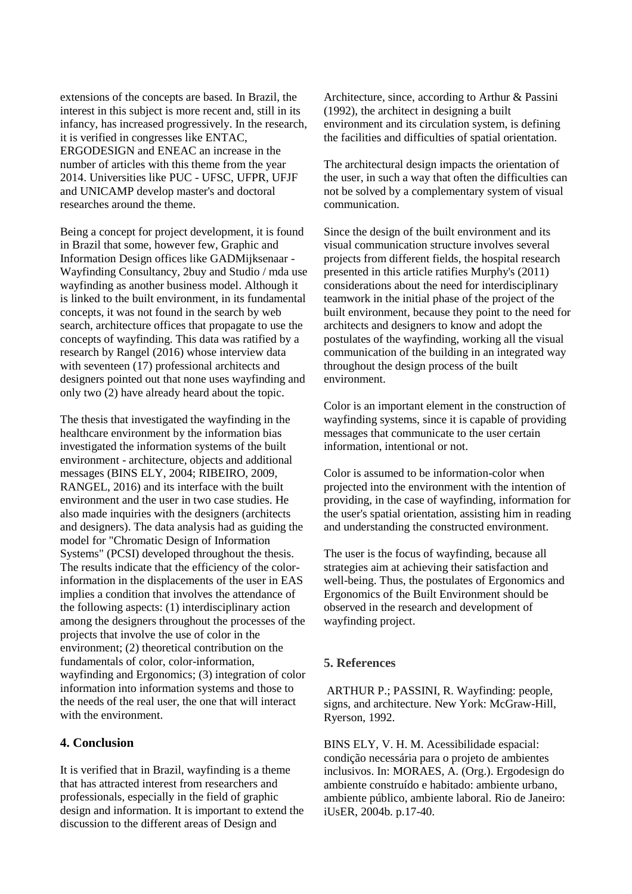extensions of the concepts are based. In Brazil, the interest in this subject is more recent and, still in its infancy, has increased progressively. In the research, it is verified in congresses like ENTAC, ERGODESIGN and ENEAC an increase in the number of articles with this theme from the year 2014. Universities like PUC - UFSC, UFPR, UFJF and UNICAMP develop master's and doctoral researches around the theme.

Being a concept for project development, it is found in Brazil that some, however few, Graphic and Information Design offices like GADMijksenaar - Wayfinding Consultancy, 2buy and Studio / mda use wayfinding as another business model. Although it is linked to the built environment, in its fundamental concepts, it was not found in the search by web search, architecture offices that propagate to use the concepts of wayfinding. This data was ratified by a research by Rangel (2016) whose interview data with seventeen (17) professional architects and designers pointed out that none uses wayfinding and only two (2) have already heard about the topic.

The thesis that investigated the wayfinding in the healthcare environment by the information bias investigated the information systems of the built environment - architecture, objects and additional messages (BINS ELY, 2004; RIBEIRO, 2009, RANGEL, 2016) and its interface with the built environment and the user in two case studies. He also made inquiries with the designers (architects and designers). The data analysis had as guiding the model for "Chromatic Design of Information Systems" (PCSI) developed throughout the thesis. The results indicate that the efficiency of the colorinformation in the displacements of the user in EAS implies a condition that involves the attendance of the following aspects: (1) interdisciplinary action among the designers throughout the processes of the projects that involve the use of color in the environment; (2) theoretical contribution on the fundamentals of color, color-information, wayfinding and Ergonomics; (3) integration of color information into information systems and those to the needs of the real user, the one that will interact with the environment.

#### **4. Conclusion**

It is verified that in Brazil, wayfinding is a theme that has attracted interest from researchers and professionals, especially in the field of graphic design and information. It is important to extend the discussion to the different areas of Design and

Architecture, since, according to Arthur & Passini (1992), the architect in designing a built environment and its circulation system, is defining the facilities and difficulties of spatial orientation.

The architectural design impacts the orientation of the user, in such a way that often the difficulties can not be solved by a complementary system of visual communication.

Since the design of the built environment and its visual communication structure involves several projects from different fields, the hospital research presented in this article ratifies Murphy's (2011) considerations about the need for interdisciplinary teamwork in the initial phase of the project of the built environment, because they point to the need for architects and designers to know and adopt the postulates of the wayfinding, working all the visual communication of the building in an integrated way throughout the design process of the built environment.

Color is an important element in the construction of wayfinding systems, since it is capable of providing messages that communicate to the user certain information, intentional or not.

Color is assumed to be information-color when projected into the environment with the intention of providing, in the case of wayfinding, information for the user's spatial orientation, assisting him in reading and understanding the constructed environment.

The user is the focus of wayfinding, because all strategies aim at achieving their satisfaction and well-being. Thus, the postulates of Ergonomics and Ergonomics of the Built Environment should be observed in the research and development of wayfinding project.

#### **5. References**

ARTHUR P.; PASSINI, R. Wayfinding: people, signs, and architecture. New York: McGraw-Hill, Ryerson, 1992.

BINS ELY, V. H. M. Acessibilidade espacial: condição necessária para o projeto de ambientes inclusivos. In: MORAES, A. (Org.). Ergodesign do ambiente construído e habitado: ambiente urbano, ambiente público, ambiente laboral. Rio de Janeiro: iUsER, 2004b. p.17-40.